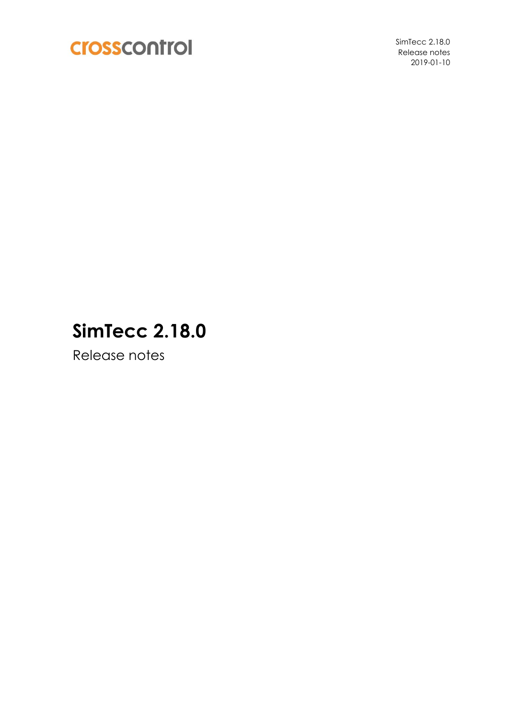

SimTecc 2.18.0 Release notes 2019-01-10

# **SimTecc 2.18.0**

Release notes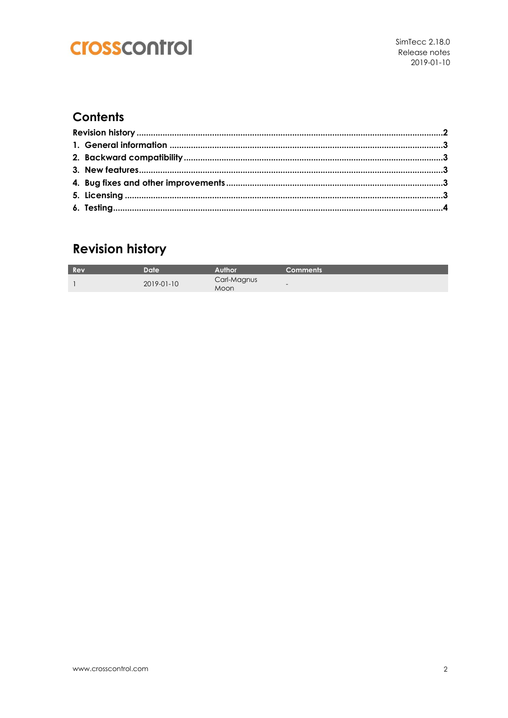## crosscontrol

#### **Contents**

## **Revision history**

| Rev | Datel      | Author              | <b>Comments</b> |
|-----|------------|---------------------|-----------------|
|     | 2019-01-10 | Carl-Magnus<br>Moon | $\sim$          |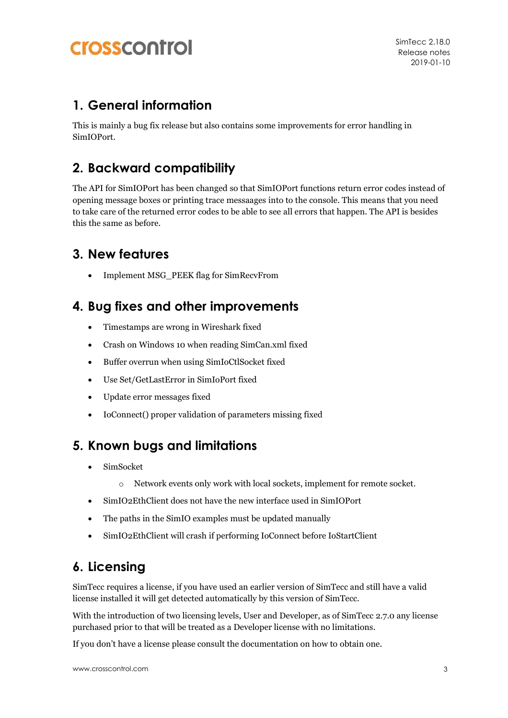## **Crosscontrol**

#### **1. General information**

This is mainly a bug fix release but also contains some improvements for error handling in SimIOPort.

### **2. Backward compatibility**

The API for SimIOPort has been changed so that SimIOPort functions return error codes instead of opening message boxes or printing trace messaages into to the console. This means that you need to take care of the returned error codes to be able to see all errors that happen. The API is besides this the same as before.

#### **3. New features**

Implement MSG\_PEEK flag for SimRecvFrom

#### **4. Bug fixes and other improvements**

- Timestamps are wrong in Wireshark fixed
- Crash on Windows 10 when reading SimCan.xml fixed
- Buffer overrun when using SimIoCtlSocket fixed
- Use Set/GetLastError in SimIoPort fixed
- Update error messages fixed
- IoConnect() proper validation of parameters missing fixed

### **5. Known bugs and limitations**

- SimSocket
	- o Network events only work with local sockets, implement for remote socket.
- SimIO2EthClient does not have the new interface used in SimIOPort
- The paths in the SimIO examples must be updated manually
- SimIO2EthClient will crash if performing IoConnect before IoStartClient

## **6. Licensing**

SimTecc requires a license, if you have used an earlier version of SimTecc and still have a valid license installed it will get detected automatically by this version of SimTecc.

With the introduction of two licensing levels, User and Developer, as of SimTecc 2.7.0 any license purchased prior to that will be treated as a Developer license with no limitations.

If you don't have a license please consult the documentation on how to obtain one.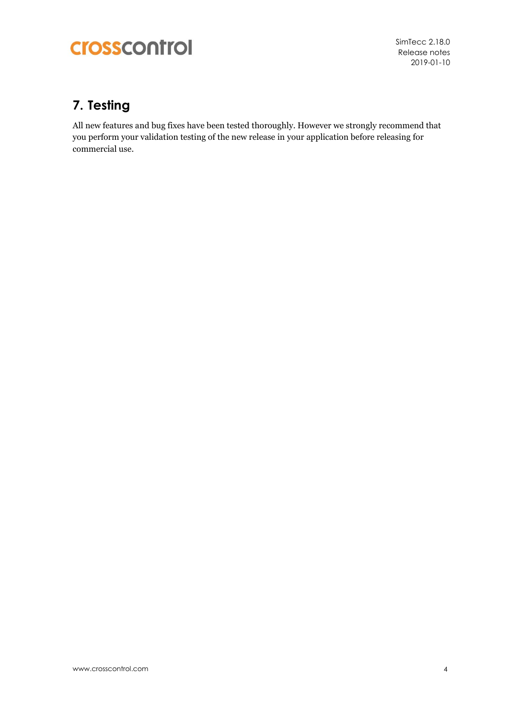# crosscontrol

SimTecc 2.18.0 Release notes 2019-01-10

## **7. Testing**

All new features and bug fixes have been tested thoroughly. However we strongly recommend that you perform your validation testing of the new release in your application before releasing for commercial use.